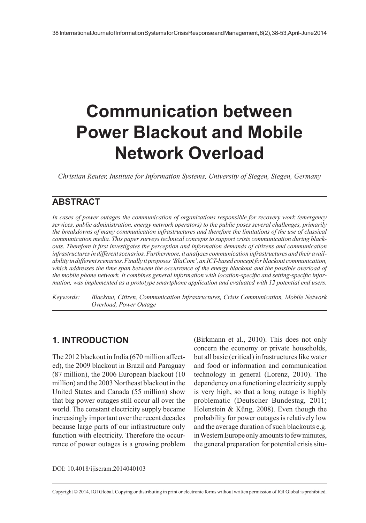# **Communication between Power Blackout and Mobile Network Overload**

*Christian Reuter, Institute for Information Systems, University of Siegen, Siegen, Germany*

# **ABSTRACT**

*In cases of power outages the communication of organizations responsible for recovery work (emergency services, public administration, energy network operators) to the public poses several challenges, primarily the breakdowns of many communication infrastructures and therefore the limitations of the use of classical communication media. This paper surveys technical concepts to support crisis communication during blackouts. Therefore it first investigates the perception and information demands of citizens and communication infrastructures in different scenarios. Furthermore, it analyzes communication infrastructures and their availability in different scenarios. Finally it proposes 'BlaCom', an ICT-based concept for blackout communication, which addresses the time span between the occurrence of the energy blackout and the possible overload of the mobile phone network. It combines general information with location-specific and setting-specific information, was implemented as a prototype smartphone application and evaluated with 12 potential end users.*

*Keywords: Blackout, Citizen, Communication Infrastructures, Crisis Communication, Mobile Network Overload, Power Outage*

# **1. INTRODUCTION**

The 2012 blackout in India (670 million affected), the 2009 blackout in Brazil and Paraguay (87 million), the 2006 European blackout (10 million) and the 2003 Northeast blackout in the United States and Canada (55 million) show that big power outages still occur all over the world. The constant electricity supply became increasingly important over the recent decades because large parts of our infrastructure only function with electricity. Therefore the occurrence of power outages is a growing problem

(Birkmann et al., 2010). This does not only concern the economy or private households, but all basic (critical) infrastructures like water and food or information and communication technology in general (Lorenz, 2010). The dependency on a functioning electricity supply is very high, so that a long outage is highly problematic (Deutscher Bundestag, 2011; Holenstein & Küng, 2008). Even though the probability for power outages is relatively low and the average duration of such blackouts e.g. in Western Europe only amounts to few minutes, the general preparation for potential crisis situ-

DOI: 10.4018/ijiscram.2014040103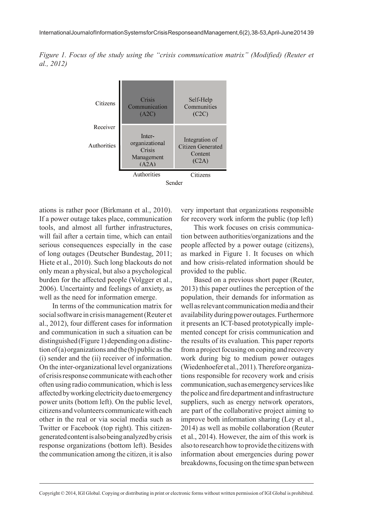*Figure 1. Focus of the study using the "crisis communication matrix" (Modified) (Reuter et al., 2012)*



ations is rather poor (Birkmann et al., 2010). If a power outage takes place, communication tools, and almost all further infrastructures, will fail after a certain time, which can entail serious consequences especially in the case of long outages (Deutscher Bundestag, 2011; Hiete et al., 2010). Such long blackouts do not only mean a physical, but also a psychological burden for the affected people (Volgger et al., 2006). Uncertainty and feelings of anxiety, as well as the need for information emerge.

In terms of the communication matrix for social software in crisis management (Reuter et al., 2012), four different cases for information and communication in such a situation can be distinguished (Figure 1) depending on a distinction of (a) organizations and the (b) public as the (i) sender and the (ii) receiver of information. On the inter-organizational level organizations of crisis response communicate with each other often using radio communication, which is less affected by working electricity due to emergency power units (bottom left). On the public level, citizens and volunteers communicate with each other in the real or via social media such as Twitter or Facebook (top right). This citizengenerated content is also being analyzed by crisis response organizations (bottom left). Besides the communication among the citizen, it is also

very important that organizations responsible for recovery work inform the public (top left)

This work focuses on crisis communication between authorities/organizations and the people affected by a power outage (citizens), as marked in Figure 1. It focuses on which and how crisis-related information should be provided to the public.

Based on a previous short paper (Reuter, 2013) this paper outlines the perception of the population, their demands for information as well as relevant communication media and their availability during power outages. Furthermore it presents an ICT-based prototypically implemented concept for crisis communication and the results of its evaluation. This paper reports from a project focusing on coping and recovery work during big to medium power outages (Wiedenhoefer et al., 2011). Therefore organizations responsible for recovery work and crisis communication, such as emergency services like the police and fire department and infrastructure suppliers, such as energy network operators, are part of the collaborative project aiming to improve both information sharing (Ley et al., 2014) as well as mobile collaboration (Reuter et al., 2014). However, the aim of this work is also to research how to provide the citizens with information about emergencies during power breakdowns, focusing on the time span between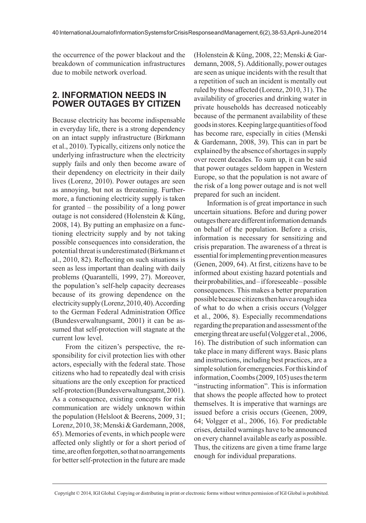the occurrence of the power blackout and the breakdown of communication infrastructures due to mobile network overload.

# **2. INFORMATION NEEDS IN POWER OUTAGES BY CITIZEN**

Because electricity has become indispensable in everyday life, there is a strong dependency on an intact supply infrastructure (Birkmann et al., 2010). Typically, citizens only notice the underlying infrastructure when the electricity supply fails and only then become aware of their dependency on electricity in their daily lives (Lorenz, 2010). Power outages are seen as annoying, but not as threatening. Furthermore, a functioning electricity supply is taken for granted – the possibility of a long power outage is not considered (Holenstein & Küng, 2008, 14). By putting an emphasize on a functioning electricity supply and by not taking possible consequences into consideration, the potential threat is underestimated (Birkmann et al., 2010, 82). Reflecting on such situations is seen as less important than dealing with daily problems (Quarantelli, 1999, 27). Moreover, the population's self-help capacity decreases because of its growing dependence on the electricity supply (Lorenz, 2010, 40). According to the German Federal Administration Office (Bundesverwaltungsamt, 2001) it can be assumed that self-protection will stagnate at the current low level.

From the citizen's perspective, the responsibility for civil protection lies with other actors, especially with the federal state. Those citizens who had to repeatedly deal with crisis situations are the only exception for practiced self-protection (Bundesverwaltungsamt, 2001). As a consequence, existing concepts for risk communication are widely unknown within the population (Helsloot & Beerens, 2009, 31; Lorenz, 2010, 38; Menski & Gardemann, 2008, 65). Memories of events, in which people were affected only slightly or for a short period of time, are often forgotten, so that no arrangements for better self-protection in the future are made

(Holenstein & Küng, 2008, 22; Menski & Gardemann, 2008, 5). Additionally, power outages are seen as unique incidents with the result that a repetition of such an incident is mentally out ruled by those affected (Lorenz, 2010, 31). The availability of groceries and drinking water in private households has decreased noticeably because of the permanent availability of these goods in stores. Keeping large quantities of food has become rare, especially in cities (Menski & Gardemann, 2008, 39). This can in part be explained by the absence of shortages in supply over recent decades. To sum up, it can be said that power outages seldom happen in Western Europe, so that the population is not aware of the risk of a long power outage and is not well prepared for such an incident.

Information is of great importance in such uncertain situations. Before and during power outages there are different information demands on behalf of the population. Before a crisis, information is necessary for sensitizing and crisis preparation. The awareness of a threat is essential for implementing prevention measures (Genen, 2009, 64). At first, citizens have to be informed about existing hazard potentials and their probabilities, and – if foreseeable – possible consequences. This makes a better preparation possible because citizens then have a rough idea of what to do when a crisis occurs (Volgger et al., 2006, 8). Especially recommendations regarding the preparation and assessment of the emerging threat are useful (Volgger et al., 2006, 16). The distribution of such information can take place in many different ways. Basic plans and instructions, including best practices, are a simple solution for emergencies. For this kind of information, Coombs (2009, 105) uses the term "instructing information". This is information that shows the people affected how to protect themselves. It is imperative that warnings are issued before a crisis occurs (Geenen, 2009, 64; Volgger et al., 2006, 16). For predictable crises, detailed warnings have to be announced on every channel available as early as possible. Thus, the citizens are given a time frame large enough for individual preparations.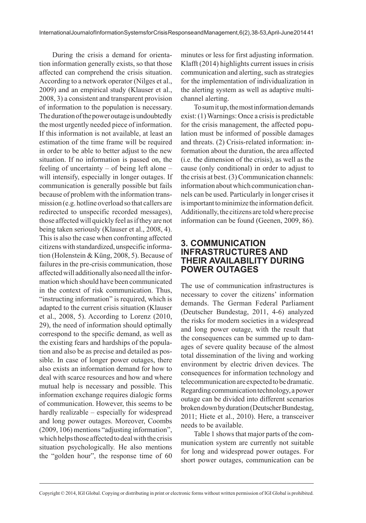During the crisis a demand for orientation information generally exists, so that those affected can comprehend the crisis situation. According to a network operator (Nilges et al., 2009) and an empirical study (Klauser et al., 2008, 3) a consistent and transparent provision of information to the population is necessary. The duration of the power outage is undoubtedly the most urgently needed piece of information. If this information is not available, at least an estimation of the time frame will be required in order to be able to better adjust to the new situation. If no information is passed on, the feeling of uncertainty – of being left alone – will intensify, especially in longer outages. If communication is generally possible but fails because of problem with the information transmission (e.g. hotline overload so that callers are redirected to unspecific recorded messages), those affected will quickly feel as if they are not being taken seriously (Klauser et al., 2008, 4). This is also the case when confronting affected citizens with standardized, unspecific information (Holenstein & Küng, 2008, 5). Because of failures in the pre-crisis communication, those affected will additionally also need all the information which should have been communicated in the context of risk communication. Thus, "instructing information" is required, which is adapted to the current crisis situation (Klauser et al., 2008, 5). According to Lorenz (2010, 29), the need of information should optimally correspond to the specific demand, as well as the existing fears and hardships of the population and also be as precise and detailed as possible. In case of longer power outages, there also exists an information demand for how to deal with scarce resources and how and where mutual help is necessary and possible. This information exchange requires dialogic forms of communication. However, this seems to be hardly realizable – especially for widespread and long power outages. Moreover, Coombs (2009, 106) mentions "adjusting information", which helps those affected to deal with the crisis situation psychologically. He also mentions the "golden hour", the response time of 60

minutes or less for first adjusting information. Klafft (2014) highlights current issues in crisis communication and alerting, such as strategies for the implementation of individualization in the alerting system as well as adaptive multichannel alerting.

To sum it up, the most information demands exist: (1) Warnings: Once a crisis is predictable for the crisis management, the affected population must be informed of possible damages and threats. (2) Crisis-related information: information about the duration, the area affected (i.e. the dimension of the crisis), as well as the cause (only conditional) in order to adjust to the crisis at best. (3) Communication channels: information about which communication channels can be used. Particularly in longer crises it is important to minimize the information deficit. Additionally, the citizens are told where precise information can be found (Geenen, 2009, 86).

#### **3. COMMUNICATION INFRASTRUCTURES AND THEIR AVAILABILITY DURING POWER OUTAGES**

The use of communication infrastructures is necessary to cover the citizens' information demands. The German Federal Parliament (Deutscher Bundestag, 2011, 4-6) analyzed the risks for modern societies in a widespread and long power outage, with the result that the consequences can be summed up to damages of severe quality because of the almost total dissemination of the living and working environment by electric driven devices. The consequences for information technology and telecommunication are expected to be dramatic. Regarding communication technology, a power outage can be divided into different scenarios broken down by duration (Deutscher Bundestag, 2011; Hiete et al., 2010). Here, a transceiver needs to be available.

Table 1 shows that major parts of the communication system are currently not suitable for long and widespread power outages. For short power outages, communication can be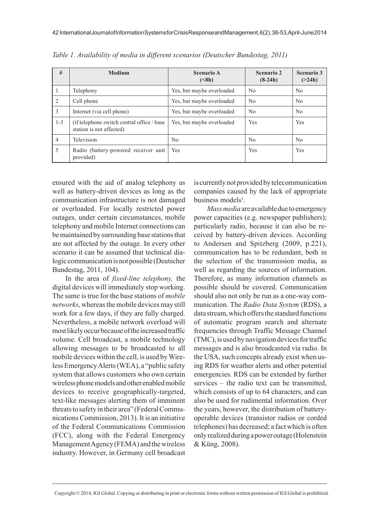| #              | <b>Medium</b>                                                           | <b>Scenario A</b><br>( <b>8h</b> ) | <b>Scenario 2</b><br>$(8-24h)$ | Scenario 3<br>( > 24h) |
|----------------|-------------------------------------------------------------------------|------------------------------------|--------------------------------|------------------------|
|                | Telephony                                                               | Yes, but maybe overloaded          | No                             | N <sub>0</sub>         |
| 2              | Cell phone                                                              | Yes, but maybe overloaded          | No                             | N <sub>0</sub>         |
| 3              | Internet (via cell phone)                                               | Yes, but maybe overloaded          | No                             | N <sub>0</sub>         |
| $1 - 3$        | (if telephone switch central office / base)<br>station is not affected) | Yes, but maybe overloaded          | Yes                            | Yes                    |
| $\overline{4}$ | Television                                                              | No.                                | No                             | N <sub>0</sub>         |
| 5              | Radio (battery-powered receiver unit<br>provided)                       | Yes                                | Yes                            | Yes                    |

*Table 1. Availability of media in different scenarios (Deutscher Bundestag, 2011)* 

ensured with the aid of analog telephony as well as battery-driven devices as long as the communication infrastructure is not damaged or overloaded. For locally restricted power outages, under certain circumstances, mobile telephony and mobile Internet connections can be maintained by surrounding base stations that are not affected by the outage. In every other scenario it can be assumed that technical dialogic communication is not possible (Deutscher Bundestag, 2011, 104).

In the area of *fixed-line telephony,* the digital devices will immediately stop working. The same is true for the base stations of *mobile networks*, whereas the mobile devices may still work for a few days, if they are fully charged. Nevertheless, a mobile network overload will most likely occur because of the increased traffic volume. Cell broadcast, a mobile technology allowing messages to be broadcasted to all mobile devices within the cell, is used by Wireless Emergency Alerts (WEA), a "public safety system that allows customers who own certain wireless phone models and other enabled mobile devices to receive geographically-targeted, text-like messages alerting them of imminent threats to safety in their area" (Federal Communications Commission, 2013). It is an initiative of the Federal Communications Commission (FCC), along with the Federal Emergency Management Agency (FEMA) and the wireless industry. However, in Germany cell broadcast

is currently not provided by telecommunication companies caused by the lack of appropriate business models<sup>1</sup>.

*Mass media* are available due to emergency power capacities (e.g. newspaper publishers); particularly radio, because it can also be received by battery-driven devices. According to Andersen and Spitzberg (2009, p.221), communication has to be redundant, both in the selection of the transmission media, as well as regarding the sources of information. Therefore, as many information channels as possible should be covered. Communication should also not only be run as a one-way communication. The *Radio Data System* (RDS), a data stream, which offers the standard functions of automatic program search and alternate frequencies through Traffic Message Channel (TMC), is used by navigation devices for traffic messages and is also broadcasted via radio. In the USA, such concepts already exist when using RDS for weather alerts and other potential emergencies. RDS can be extended by further services – the radio text can be transmitted, which consists of up to 64 characters, and can also be used for rudimental information. Over the years, however, the distribution of batteryoperable devices (transistor radios or corded telephones) has decreased; a fact which is often only realized during a power outage (Holenstein & Küng, 2008).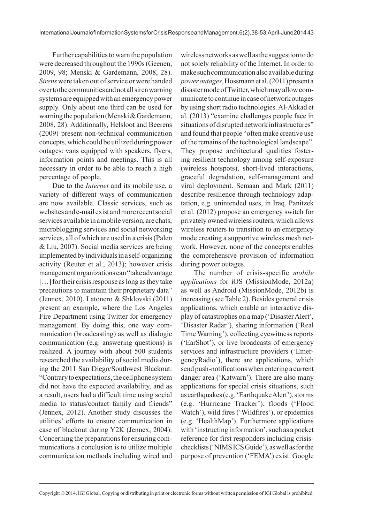Further capabilities to warn the population were decreased throughout the 1990s (Geenen, 2009, 98; Menski & Gardemann, 2008, 28). *Sirens* were taken out of service or were handed over to the communities and not all siren warning systems are equipped with an emergency power supply. Only about one third can be used for warning the population (Menski & Gardemann, 2008, 28). Additionally, Helsloot and Beerens (2009) present non-technical communication concepts, which could be utilized during power outages: vans equipped with speakers, flyers, information points and meetings. This is all necessary in order to be able to reach a high percentage of people.

Due to the *Internet* and its mobile use, a variety of different ways of communication are now available. Classic services, such as websites and e-mail exist and more recent social services available in a mobile version, are chats, microblogging services and social networking services, all of which are used in a crisis (Palen & Liu, 2007). Social media services are being implemented by individuals in a self-organizing activity (Reuter et al., 2013); however crisis management organizations can "take advantage [...] for their crisis response as long as they take precautions to maintain their proprietary data" (Jennex, 2010). Latonero & Shklovski (2011) present an example, where the Los Angeles Fire Department using Twitter for emergency management. By doing this, one way communication (broadcasting) as well as dialogic communication (e.g. answering questions) is realized. A journey with about 500 students researched the availability of social media during the 2011 San Diego/Southwest Blackout: "Contrary to expectations, the cell phone system did not have the expected availability, and as a result, users had a difficult time using social media to status/contact family and friends" (Jennex, 2012). Another study discusses the utilities' efforts to ensure communication in case of blackout during Y2K (Jennex, 2004): Concerning the preparations for ensuring communications a conclusion is to utilize multiple communication methods including wired and

wireless networks as well as the suggestion to do not solely reliability of the Internet. In order to make such communication also available during *power outages*, Hossmann et al. (2011) present a disaster mode of Twitter, which may allow communicate to continue in case of network outages by using short radio technologies. Al-Akkad et al. (2013) "examine challenges people face in situations of disrupted network infrastructures" and found that people "often make creative use of the remains of the technological landscape". They propose architectural qualities fostering resilient technology among self-exposure (wireless hotspots), short-lived interactions, graceful degradation, self-management and viral deployment. Semaan and Mark (2011) describe resilience through technology adaptation, e.g. unintended uses, in Iraq. Panitzek et al. (2012) propose an emergency switch for privately owned wireless routers, which allows wireless routers to transition to an emergency mode creating a supportive wireless mesh network. However, none of the concepts enables the comprehensive provision of information during power outages.

The number of crisis-specific *mobile applications* for iOS (MissionMode, 2012a) as well as Android (MissionMode, 2012b) is increasing (see Table 2). Besides general crisis applications, which enable an interactive display of catastrophes on a map ('Disaster Alert', 'Disaster Radar'), sharing information ('Real Time Warning'), collecting eyewitness reports ('EarShot'), or live broadcasts of emergency services and infrastructure providers ('EmergencyRadio'), there are applications, which send push-notifications when entering a current danger area ('Katwarn'). There are also many applications for special crisis situations, such as earthquakes (e.g. 'Earthquake Alert'), storms (e.g. 'Hurricane Tracker'), floods ('Flood Watch'), wild fires ('Wildfires'), or epidemics (e.g. 'HealthMap'). Furthermore applications with 'instructing information', such as a pocket reference for first responders including crisischecklists ('NIMS ICS Guide'), as well as for the purpose of prevention ('FEMA') exist. Google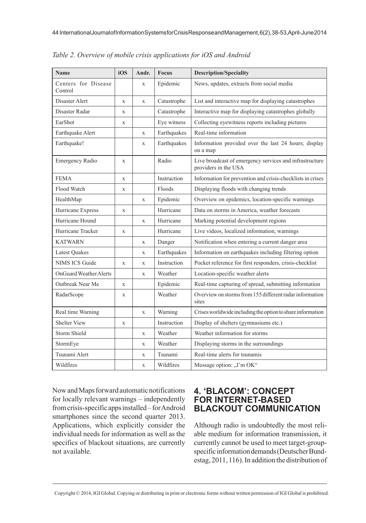| <b>Name</b>                    | iOS         | Andr.       | <b>Focus</b> | <b>Description/Speciality</b>                                                   |
|--------------------------------|-------------|-------------|--------------|---------------------------------------------------------------------------------|
| Centers for Disease<br>Control |             | $\mathbf x$ | Epidemic     | News, updates, extracts from social media                                       |
| Disaster Alert                 | $\mathbf X$ | $\mathbf x$ | Catastrophe  | List and interactive map for displaying catastrophes                            |
| Disaster Radar                 | $\mathbf x$ |             | Catastrophe  | Interactive map for displaying catastrophes globally                            |
| EarShot                        | X           |             | Eye witness  | Collecting eyewitness reports including pictures                                |
| Earthquake Alert               |             | $\mathbf x$ | Earthquakes  | Real-time information                                                           |
| Earthquake!                    |             | $\mathbf x$ | Earthquakes  | Information provided over the last 24 hours; display<br>on a map                |
| <b>Emergency Radio</b>         | $\mathbf X$ |             | Radio        | Live broadcast of emergency services and infrastructure<br>providers in the USA |
| <b>FEMA</b>                    | $\mathbf x$ |             | Instruction  | Information for prevention and crisis-checklists in crises                      |
| Flood Watch                    | X           |             | Floods       | Displaying floods with changing trends                                          |
| HealthMap                      |             | $\mathbf x$ | Epidemic     | Overview on epidemics, location-specific warnings                               |
| Hurricane Express              | $\mathbf X$ |             | Hurricane    | Data on storms in America, weather forecasts                                    |
| Hurricane Hound                |             | $\mathbf X$ | Hurricane    | Marking potential development regions                                           |
| Hurricane Tracker              | X           |             | Hurricane    | Live videos, localized information, warnings                                    |
| <b>KATWARN</b>                 |             | $\mathbf X$ | Danger       | Notification when entering a current danger area                                |
| <b>Latest Quakes</b>           |             | X           | Earthquakes  | Information on earthquakes including filtering option                           |
| <b>NIMS ICS Guide</b>          | X           | X           | Instruction  | Pocket reference for first responders, crisis-checklist                         |
| <b>OnGuard Weather Alerts</b>  |             | X           | Weather      | Location-specific weather alerts                                                |
| Outbreak Near Me               | $\mathbf x$ |             | Epidemic     | Real-time capturing of spread, submitting information                           |
| RadarScope                     | X           |             | Weather      | Overview on storms from 155 different radar information<br>sites                |
| Real time Warning              |             | $\mathbf x$ | Warning      | Crises worldwide including the option to share information                      |
| <b>Shelter View</b>            | $\mathbf X$ |             | Instruction  | Display of shelters (gymnasiums etc.)                                           |
| Storm Shield                   |             | $\mathbf x$ | Weather      | Weather information for storms                                                  |
| StormEye                       |             | $\mathbf x$ | Weather      | Displaying storms in the surroundings                                           |
| Tsunami Alert                  |             | X           | Tsunami      | Real-time alerts for tsunamis                                                   |
| Wildfires                      |             | $\mathbf x$ | Wildfires    | Message option: "I'm OK"                                                        |

*Table 2. Overview of mobile crisis applications for iOS and Android* 

Now and Maps forward automatic notifications for locally relevant warnings – independently from crisis-specific apps installed – for Android smartphones since the second quarter 2013. Applications, which explicitly consider the individual needs for information as well as the specifics of blackout situations, are currently not available.

## **4. 'BLACOM': CONCEPT FOR INTERNET-BASED BLACKOUT COMMUNICATION**

Although radio is undoubtedly the most reliable medium for information transmission, it currently cannot be used to meet target-groupspecific information demands (Deutscher Bundestag, 2011, 116). In addition the distribution of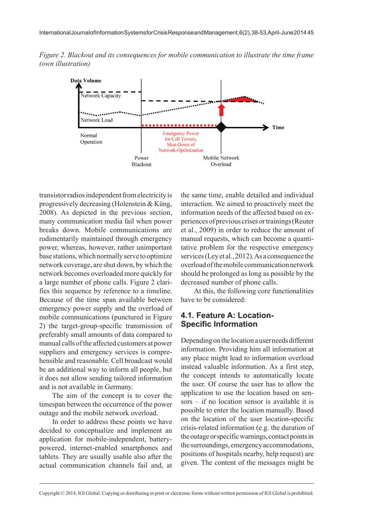*Figure 2. Blackout and its consequences for mobile communication to illustrate the time frame (own illustration)*



transistor radios independent from electricity is progressively decreasing (Holenstein & Küng, 2008). As depicted in the previous section, many communication media fail when power breaks down. Mobile communications are rudimentarily maintained through emergency power, whereas, however, rather unimportant base stations, which normally serve to optimize network coverage, are shut down, by which the network becomes overloaded more quickly for a large number of phone calls. Figure 2 clarifies this sequence by reference to a timeline. Because of the time span available between emergency power supply and the overload of mobile communications (punctured in Figure 2) the target-group-specific transmission of preferably small amounts of data compared to manual calls of the affected customers at power suppliers and emergency services is comprehensible and reasonable. Cell broadcast would be an additional way to inform all people, but it does not allow sending tailored information and is not available in Germany.

The aim of the concept is to cover the timespan between the occurrence of the power outage and the mobile network overload.

In order to address these points we have decided to conceptualize and implement an application for mobile-independent, batterypowered, internet-enabled smartphones and tablets. They are usually usable also after the actual communication channels fail and, at the same time, enable detailed and individual interaction. We aimed to proactively meet the information needs of the affected based on experiences of previous crises or trainings (Reuter et al., 2009) in order to reduce the amount of manual requests, which can become a quantitative problem for the respective emergency services (Ley et al., 2012). As a consequence the overload of the mobile communication network should be prolonged as long as possible by the decreased number of phone calls.

At this, the following core functionalities have to be considered:

#### **4.1. Feature A: Location-Specific Information**

Depending on the location a user needs different information. Providing him all information at any place might lead to information overload instead valuable information. As a first step, the concept intends to automatically locate the user. Of course the user has to allow the application to use the location based on sensors – if no location sensor is available it is possible to enter the location manually. Based on the location of the user location-specific crisis-related information (e.g. the duration of the outage or specific warnings, contact points in the surroundings, emergency accommodations, positions of hospitals nearby, help request) are given. The content of the messages might be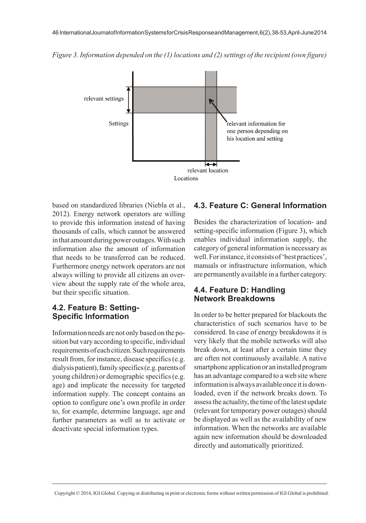

*Figure 3. Information depended on the (1) locations and (2) settings of the recipient (own figure)*

based on standardized libraries (Niebla et al., 2012). Energy network operators are willing to provide this information instead of having thousands of calls, which cannot be answered in that amount during power outages. With such information also the amount of information that needs to be transferred can be reduced. Furthermore energy network operators are not always willing to provide all citizens an overview about the supply rate of the whole area, but their specific situation.

#### **4.2. Feature B: Setting-Specific Information**

Information needs are not only based on the position but vary according to specific, individual requirements of each citizen. Such requirements result from, for instance, disease specifics (e.g. dialysis patient), family specifics (e.g. parents of young children) or demographic specifics (e.g. age) and implicate the necessity for targeted information supply. The concept contains an option to configure one's own profile in order to, for example, determine language, age and further parameters as well as to activate or deactivate special information types.

#### **4.3. Feature C: General Information**

Besides the characterization of location- and setting-specific information (Figure 3), which enables individual information supply, the category of general information is necessary as well. For instance, it consists of 'best practices', manuals or infrastructure information, which are permanently available in a further category.

#### **4.4. Feature D: Handling Network Breakdowns**

In order to be better prepared for blackouts the characteristics of such scenarios have to be considered. In case of energy breakdowns it is very likely that the mobile networks will also break down, at least after a certain time they are often not continuously available. A native smartphone application or an installed program has an advantage compared to a web site where information is always available once it is downloaded, even if the network breaks down. To assess the actuality, the time of the latest update (relevant for temporary power outages) should be displayed as well as the availability of new information. When the networks are available again new information should be downloaded directly and automatically prioritized.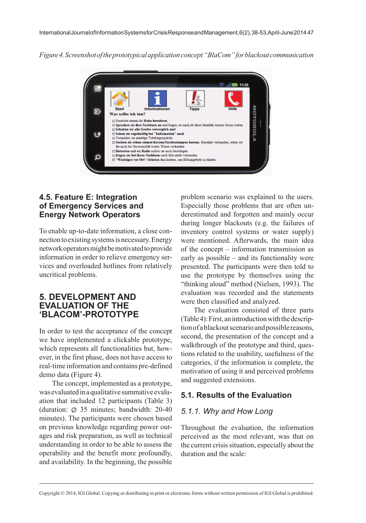*Figure 4. Screenshot of the prototypical application concept "BlaCom" for blackout communication*



## **4.5. Feature E: Integration of Emergency Services and Energy Network Operators**

To enable up-to-date information, a close connection to existing systems is necessary. Energy network operators might be motivated to provide information in order to relieve emergency services and overloaded hotlines from relatively uncritical problems.

## **5. DEVELOPMENT AND EVALUATION OF THE 'BLACOM'-PROTOTYPE**

In order to test the acceptance of the concept we have implemented a clickable prototype, which represents all functionalities but, however, in the first phase, does not have access to real-time information and contains pre-defined demo data (Figure 4).

The concept, implemented as a prototype, was evaluated in a qualitative summative evaluation that included 12 participants (Table 3) (duration: ∅ 35 minutes; bandwidth: 20-40 minutes). The participants were chosen based on previous knowledge regarding power outages and risk preparation, as well as technical understanding in order to be able to assess the operability and the benefit more profoundly, and availability. In the beginning, the possible problem scenario was explained to the users. Especially those problems that are often underestimated and forgotten and mainly occur during longer blackouts (e.g. the failures of inventory control systems or water supply) were mentioned. Afterwards, the main idea of the concept – information transmission as early as possible – and its functionality were presented. The participants were then told to use the prototype by themselves using the "thinking aloud" method (Nielsen, 1993). The evaluation was recorded and the statements were then classified and analyzed.

The evaluation consisted of three parts (Table 4): First, an introduction with the description of a blackout scenario and possible reasons, second, the presentation of the concept and a walkthrough of the prototype and third, questions related to the usability, usefulness of the categories, if the information is complete, the motivation of using it and perceived problems and suggested extensions.

# **5.1. Results of the Evaluation**

## *5.1.1. Why and How Long*

Throughout the evaluation, the information perceived as the most relevant, was that on the current crisis situation, especially about the duration and the scale: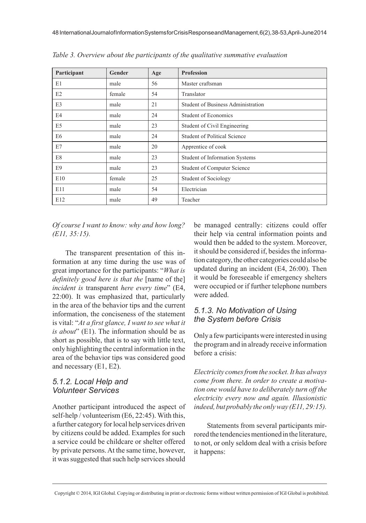| Participant    | Gender | Age | <b>Profession</b>                         |
|----------------|--------|-----|-------------------------------------------|
| E1             | male   | 56  | Master craftsman                          |
| E2             | female | 54  | Translator                                |
| E <sub>3</sub> | male   | 21  | <b>Student of Business Administration</b> |
| E4             | male   | 24  | <b>Student of Economics</b>               |
| E <sub>5</sub> | male   | 23  | Student of Civil Engineering              |
| E <sub>6</sub> | male   | 24  | <b>Student of Political Science</b>       |
| E7             | male   | 20  | Apprentice of cook                        |
| E8             | male   | 23  | Student of Information Systems            |
| E9             | male   | 23  | Student of Computer Science               |
| E10            | female | 25  | Student of Sociology                      |
| E11            | male   | 54  | Electrician                               |
| E12            | male   | 49  | Teacher                                   |

*Table 3. Overview about the participants of the qualitative summative evaluation* 

*Of course I want to know: why and how long? (E11, 35:15).*

The transparent presentation of this information at any time during the use was of great importance for the participants: "*What is definitely good here is that the* [name of the] *incident is* transparent *here every time*" (E4, 22:00). It was emphasized that, particularly in the area of the behavior tips and the current information, the conciseness of the statement is vital: "*At a first glance, I want to see what it is about*" (E1). The information should be as short as possible, that is to say with little text, only highlighting the central information in the area of the behavior tips was considered good and necessary (E1, E2).

#### *5.1.2. Local Help and Volunteer Services*

Another participant introduced the aspect of self-help / volunteerism (E6, 22:45). With this, a further category for local help services driven by citizens could be added. Examples for such a service could be childcare or shelter offered by private persons. At the same time, however, it was suggested that such help services should

be managed centrally: citizens could offer their help via central information points and would then be added to the system. Moreover, it should be considered if, besides the information category, the other categories could also be updated during an incident (E4, 26:00). Then it would be foreseeable if emergency shelters were occupied or if further telephone numbers were added.

## *5.1.3. No Motivation of Using the System before Crisis*

Only a few participants were interested in using the program and in already receive information before a crisis:

*Electricity comes from the socket. It has always come from there. In order to create a motivation one would have to deliberately turn off the electricity every now and again. Illusionistic indeed, but probably the only way (E11, 29:15).* 

Statements from several participants mirrored the tendencies mentioned in the literature, to not, or only seldom deal with a crisis before it happens: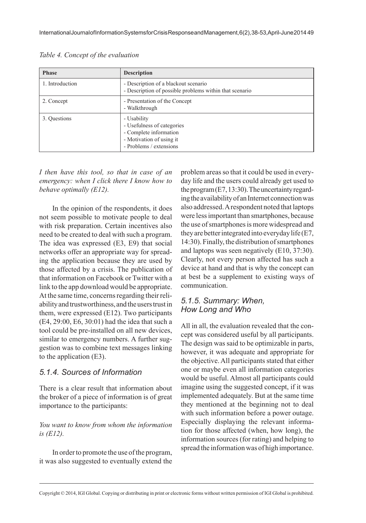| <b>Phase</b>    | <b>Description</b>                                                                                                         |  |
|-----------------|----------------------------------------------------------------------------------------------------------------------------|--|
| 1. Introduction | - Description of a blackout scenario<br>- Description of possible problems within that scenario                            |  |
| 2. Concept      | - Presentation of the Concept<br>- Walkthrough                                                                             |  |
| 3. Questions    | - Usability<br>- Usefulness of categories<br>- Complete information<br>- Motivation of using it<br>- Problems / extensions |  |

*Table 4. Concept of the evaluation* 

*I then have this tool, so that in case of an emergency: when I click there I know how to behave optimally (E12).* 

In the opinion of the respondents, it does not seem possible to motivate people to deal with risk preparation. Certain incentives also need to be created to deal with such a program. The idea was expressed (E3, E9) that social networks offer an appropriate way for spreading the application because they are used by those affected by a crisis. The publication of that information on Facebook or Twitter with a link to the app download would be appropriate. At the same time, concerns regarding their reliability and trustworthiness, and the users trust in them, were expressed (E12). Two participants (E4, 29:00, E6, 30:01) had the idea that such a tool could be pre-installed on all new devices, similar to emergency numbers. A further suggestion was to combine text messages linking to the application (E3).

#### *5.1.4. Sources of Information*

There is a clear result that information about the broker of a piece of information is of great importance to the participants:

#### *You want to know from whom the information is (E12).*

In order to promote the use of the program, it was also suggested to eventually extend the problem areas so that it could be used in everyday life and the users could already get used to the program (E7, 13:30). The uncertainty regarding the availability of an Internet connection was also addressed. A respondent noted that laptops were less important than smartphones, because the use of smartphones is more widespread and they are better integrated into everyday life (E7, 14:30). Finally, the distribution of smartphones and laptops was seen negatively (E10, 37:30). Clearly, not every person affected has such a device at hand and that is why the concept can at best be a supplement to existing ways of communication.

#### *5.1.5. Summary: When, How Long and Who*

All in all, the evaluation revealed that the concept was considered useful by all participants. The design was said to be optimizable in parts, however, it was adequate and appropriate for the objective. All participants stated that either one or maybe even all information categories would be useful. Almost all participants could imagine using the suggested concept, if it was implemented adequately. But at the same time they mentioned at the beginning not to deal with such information before a power outage. Especially displaying the relevant information for those affected (when, how long), the information sources (for rating) and helping to spread the information was of high importance.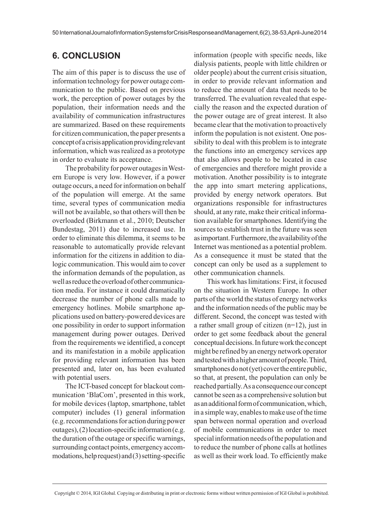# **6. CONCLUSION**

The aim of this paper is to discuss the use of information technology for power outage communication to the public. Based on previous work, the perception of power outages by the population, their information needs and the availability of communication infrastructures are summarized. Based on these requirements for citizen communication, the paper presents a concept of a crisis application providing relevant information, which was realized as a prototype in order to evaluate its acceptance.

The probability for power outages in Western Europe is very low. However, if a power outage occurs, a need for information on behalf of the population will emerge. At the same time, several types of communication media will not be available, so that others will then be overloaded (Birkmann et al., 2010; Deutscher Bundestag, 2011) due to increased use. In order to eliminate this dilemma, it seems to be reasonable to automatically provide relevant information for the citizens in addition to dialogic communication. This would aim to cover the information demands of the population, as well as reduce the overload of other communication media. For instance it could dramatically decrease the number of phone calls made to emergency hotlines. Mobile smartphone applications used on battery-powered devices are one possibility in order to support information management during power outages. Derived from the requirements we identified, a concept and its manifestation in a mobile application for providing relevant information has been presented and, later on, has been evaluated with potential users.

The ICT-based concept for blackout communication 'BlaCom', presented in this work, for mobile devices (laptop, smartphone, tablet computer) includes (1) general information (e.g. recommendations for action during power outages), (2) location-specific information (e.g. the duration of the outage or specific warnings, surrounding contact points, emergency accommodations, help request) and (3) setting-specific information (people with specific needs, like dialysis patients, people with little children or older people) about the current crisis situation, in order to provide relevant information and to reduce the amount of data that needs to be transferred. The evaluation revealed that especially the reason and the expected duration of the power outage are of great interest. It also became clear that the motivation to proactively inform the population is not existent. One possibility to deal with this problem is to integrate the functions into an emergency services app that also allows people to be located in case of emergencies and therefore might provide a motivation. Another possibility is to integrate the app into smart metering applications, provided by energy network operators. But organizations responsible for infrastructures should, at any rate, make their critical information available for smartphones. Identifying the sources to establish trust in the future was seen as important. Furthermore, the availability of the Internet was mentioned as a potential problem. As a consequence it must be stated that the concept can only be used as a supplement to other communication channels.

This work has limitations: First, it focused on the situation in Western Europe. In other parts of the world the status of energy networks and the information needs of the public may be different. Second, the concept was tested with a rather small group of citizen (n=12), just in order to get some feedback about the general conceptual decisions. In future work the concept might be refined by an energy network operator and tested with a higher amount of people. Third, smartphones do not (yet) cover the entire public, so that, at present, the population can only be reached partially. As a consequence our concept cannot be seen as a comprehensive solution but as an additional form of communication, which, in a simple way, enables to make use of the time span between normal operation and overload of mobile communications in order to meet special information needs of the population and to reduce the number of phone calls at hotlines as well as their work load. To efficiently make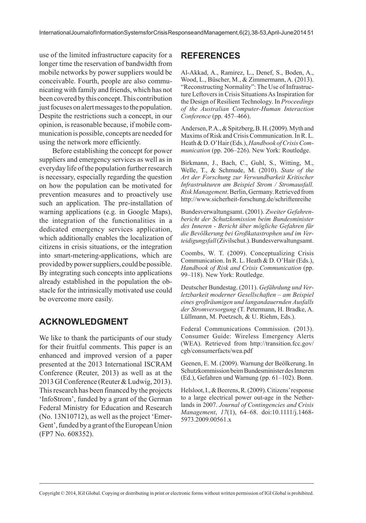use of the limited infrastructure capacity for a longer time the reservation of bandwidth from mobile networks by power suppliers would be conceivable. Fourth, people are also communicating with family and friends, which has not been covered by this concept. This contribution just focuses on alert messages to the population. Despite the restrictions such a concept, in our opinion, is reasonable because, if mobile communication is possible, concepts are needed for using the network more efficiently.

Before establishing the concept for power suppliers and emergency services as well as in everyday life of the population further research is necessary, especially regarding the question on how the population can be motivated for prevention measures and to proactively use such an application. The pre-installation of warning applications (e.g. in Google Maps), the integration of the functionalities in a dedicated emergency services application, which additionally enables the localization of citizens in crisis situations, or the integration into smart-metering-applications, which are provided by power suppliers, could be possible. By integrating such concepts into applications already established in the population the obstacle for the intrinsically motivated use could be overcome more easily.

# **ACKNOWLEDGMENT**

We like to thank the participants of our study for their fruitful comments. This paper is an enhanced and improved version of a paper presented at the 2013 International ISCRAM Conference (Reuter, 2013) as well as at the 2013 GI Conference (Reuter & Ludwig, 2013). This research has been financed by the projects 'InfoStrom', funded by a grant of the German Federal Ministry for Education and Research (No. 13N10712), as well as the project 'Emer-Gent', funded by a grant of the European Union (FP7 No. 608352).

# **REFERENCES**

Al-Akkad, A., Ramirez, L., Denef, S., Boden, A., Wood, L., Büscher, M., & Zimmermann, A. (2013). "Reconstructing Normality": The Use of Infrastructure Leftovers in Crisis Situations As Inspiration for the Design of Resilient Technology. In *Proceedings of the Australian Computer-Human Interaction Conference* (pp. 457–466).

Andersen, P. A., & Spitzberg, B. H. (2009). Myth and Maxims of Risk and Crisis Communication. In R. L. Heath & D. O'Hair (Eds.), *Handbook of Crisis Communication* (pp. 206–226). New York: Routledge.

Birkmann, J., Bach, C., Guhl, S., Witting, M., Welle, T., & Schmude, M. (2010). *State of the Art der Forschung zur Verwundbarkeit Kritischer Infrastrukturen am Beispiel Strom / Stromausfall. Risk Management*. Berlin, Germany. Retrieved from <http://www.sicherheit-forschung.de/schriftenreihe>

Bundesverwaltungsamt. (2001). *Zweiter Gefahrenbericht der Schutzkomission beim Bundesminister des Inneren - Bericht über mögliche Gefahren für die Bevölkerung bei Großkatastrophen und im Verteidigungsfall* (Zivilschut.). Bundesverwaltungsamt.

Coombs, W. T. (2009). Conceptualizing Crisis Communication. In R. L. Heath & D. O'Hair (Eds.), *Handbook of Risk and Crisis Communication* (pp. 99–118). New York: Routledge.

Deutscher Bundestag. (2011). *Gefährdung und Verletzbarkeit moderner Gesellschaften – am Beispiel eines großräumigen und langandauernden Ausfalls der Stromversorgung* (T. Petermann, H. Bradke, A. Lüllmann, M. Poetzsch, & U. Riehm, Eds.).

Federal Communications Commission. (2013). Consumer Guide: Wireless Emergency Alerts (WEA). Retrieved from [http://transition.fcc.gov/](http://transition.fcc.gov/cgb/consumerfacts/wea.pdf) [cgb/consumerfacts/wea.pdf](http://transition.fcc.gov/cgb/consumerfacts/wea.pdf)

Geenen, E. M. (2009). Warnung der Beölkerung. In Schutzkommission beim Bundesminister des Inneren (Ed.), Gefahren und Warnung (pp. 61–102). Bonn.

Helsloot, I., & Beerens, R. (2009). Citizens' response to a large electrical power out-age in the Netherlands in 2007. *Journal of Contingencies and Crisis Management*, *17*(1), 64–68. doi[:10.1111/j.1468-](http://dx.doi.org/10.1111/j.1468-5973.2009.00561.x) [5973.2009.00561.x](http://dx.doi.org/10.1111/j.1468-5973.2009.00561.x)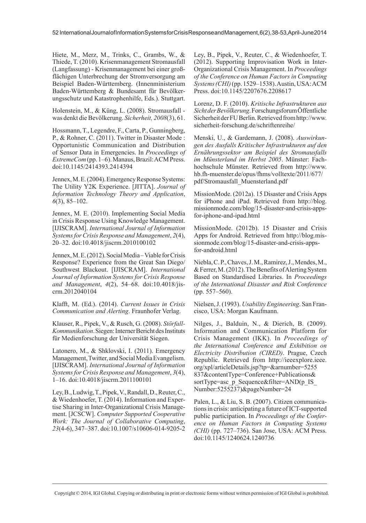Hiete, M., Merz, M., Trinks, C., Grambs, W., & Thiede, T. (2010). Krisenmanagement Stromausfall (Langfassung) - Krisenmanagement bei einer großflächigen Unterbrechung der Stromversorgung am Beispiel Baden-Württemberg. (Innenministerium Baden-Württemberg & Bundesamt für Bevölkerungsschutz und Katastrophenhilfe, Eds.). Stuttgart.

Holenstein, M., & Küng, L. (2008). Stromausfall was denkt die Bevölkerung. *Sicherheit, 2008*(3), 61.

Hossmann, T., Legendre, F., Carta, P., Gunningberg, P., & Rohner, C. (2011). Twitter in Disaster Mode : Opportunistic Communication and Distribution of Sensor Data in Emergencies. In *Proceedings of ExtremeCom* (pp. 1–6). Manaus, Brazil: ACM Press. doi[:10.1145/2414393.2414394](http://dx.doi.org/10.1145/2414393.2414394)

Jennex, M. E. (2004). Emergency Response Systems: The Utility Y2K Experience. [JITTA]. *Journal of Information Technology Theory and Application*, *6*(3), 85–102.

Jennex, M. E. (2010). Implementing Social Media in Crisis Response Using Knowledge Management. [IJISCRAM]. *International Journal of Information Systems for Crisis Response and Management*, *2*(4), 20–32. doi[:10.4018/jiscrm.2010100102](http://dx.doi.org/10.4018/jiscrm.2010100102)

Jennex, M. E. (2012). Social Media – Viable for Crisis Response? Experience from the Great San Diego/ Southwest Blackout. [IJISCRAM]. *International Journal of Information Systems for Crisis Response and Management*, *4*(2), 54–68. doi:[10.4018/jis](http://dx.doi.org/10.4018/jiscrm.2012040104)[crm.2012040104](http://dx.doi.org/10.4018/jiscrm.2012040104)

Klafft, M. (Ed.). (2014). *Current Issues in Crisis Communication and Alerting*. Fraunhofer Verlag.

Klauser, R., Pipek, V., & Rusch, G. (2008). *Störfall-Kommunikation*. Siegen: Interner Bericht des Instituts für Medienforschung der Universität Siegen.

Latonero, M., & Shklovski, I. (2011). Emergency Management, Twitter, and Social Media Evangelism. [IJISCRAM]. *International Journal of Information Systems for Crisis Response and Management*, *3*(4), 1–16. doi:[10.4018/jiscrm.2011100101](http://dx.doi.org/10.4018/jiscrm.2011100101)

Ley, B., Ludwig, T., Pipek, V., Randall, D., Reuter, C., & Wiedenhoefer, T. (2014). Information and Expertise Sharing in Inter-Organizational Crisis Management. [JCSCW]. *Computer Supported Cooperative Work: The Journal of Collaborative Computing*, *23*(4-6), 347–387. doi[:10.1007/s10606-014-9205-2](http://dx.doi.org/10.1007/s10606-014-9205-2)

Ley, B., Pipek, V., Reuter, C., & Wiedenhoefer, T. (2012). Supporting Improvisation Work in Inter-Organizational Crisis Management. In *Proceedings of the Conference on Human Factors in Computing Systems (CHI)* (pp. 1529–1538). Austin, USA: ACM Press. doi:[10.1145/2207676.2208617](http://dx.doi.org/10.1145/2207676.2208617)

Lorenz, D. F. (2010). *Kritische Infrastrukturen aus Sicht der Bevölkerung*. Forschungsforum Öffentliche Sicherheit der FU Berlin. Retrieved from [http://www.](http://www.sicherheit-forschung.de/schriftenreihe/) [sicherheit-forschung.de/schriftenreihe/](http://www.sicherheit-forschung.de/schriftenreihe/)

Menski, U., & Gardemann, J. (2008). *Auswirkungen des Ausfalls Kritischer Infrastrukturen auf den Ernährungssektor am Beispiel des Stromausfalls im Münsterland im Herbst 2005*. Münster: Fachhochschule Münster. Retrieved from [http://www.](http://www.hb.fh-muenster.de/opus/fhms/volltexte/2011/677/pdf/Stromausfall_Muensterland.pdf) [hb.fh-muenster.de/opus/fhms/volltexte/2011/677/](http://www.hb.fh-muenster.de/opus/fhms/volltexte/2011/677/pdf/Stromausfall_Muensterland.pdf) [pdf/Stromausfall\\_Muensterland.pdf](http://www.hb.fh-muenster.de/opus/fhms/volltexte/2011/677/pdf/Stromausfall_Muensterland.pdf)

MissionMode. (2012a). 15 Disaster and Crisis Apps for iPhone and iPad. Retrieved from [http://blog.](http://blog.missionmode.com/blog/15-disaster-and-crisis-apps-for-iphone-and-ipad.html) [missionmode.com/blog/15-disaster-and-crisis-apps](http://blog.missionmode.com/blog/15-disaster-and-crisis-apps-for-iphone-and-ipad.html)[for-iphone-and-ipad.html](http://blog.missionmode.com/blog/15-disaster-and-crisis-apps-for-iphone-and-ipad.html)

MissionMode. (2012b). 15 Disaster and Crisis Apps for Android. Retrieved from [http://blog.mis](http://blog.missionmode.com/blog/15-disaster-and-crisis-apps-for-android.html)[sionmode.com/blog/15-disaster-and-crisis-apps](http://blog.missionmode.com/blog/15-disaster-and-crisis-apps-for-android.html)[for-android.html](http://blog.missionmode.com/blog/15-disaster-and-crisis-apps-for-android.html)

Niebla, C. P., Chaves, J. M., Ramirez, J., Mendes, M., & Ferrer, M. (2012). The Benefits of Alerting System Based on Standardised Libraries. In *Proceedings of the International Disaster and Risk Conference* (pp. 557–560).

Nielsen, J. (1993). *Usability Engineering*. San Francisco, USA: Morgan Kaufmann.

Nilges, J., Balduin, N., & Dierich, B. (2009). Information and Communication Platform for Crisis Management (IKK). In *Proceedings of the International Conference and Exhibition on Electricity Distribution (CIRED)*. Prague, Czech Republic. Retrieved from [http://ieeexplore.ieee.](http://ieeexplore.ieee.org/xpl/articleDetails.jsp?tp=&arnumber=5255837&contentType=Conference+Publications&sortType=asc_p_Sequence&filter=AND(p_IS_Number:5255237)&pageNumber=24) [org/xpl/articleDetails.jsp?tp=&arnumber=5255](http://ieeexplore.ieee.org/xpl/articleDetails.jsp?tp=&arnumber=5255837&contentType=Conference+Publications&sortType=asc_p_Sequence&filter=AND(p_IS_Number:5255237)&pageNumber=24) [837&contentType=Conference+Publications&](http://ieeexplore.ieee.org/xpl/articleDetails.jsp?tp=&arnumber=5255837&contentType=Conference+Publications&sortType=asc_p_Sequence&filter=AND(p_IS_Number:5255237)&pageNumber=24) [sortType=asc\\_p\\_Sequence&filter=AND\(p\\_IS\\_](http://ieeexplore.ieee.org/xpl/articleDetails.jsp?tp=&arnumber=5255837&contentType=Conference+Publications&sortType=asc_p_Sequence&filter=AND(p_IS_Number:5255237)&pageNumber=24) [Number:5255237\)&pageNumber=24](http://ieeexplore.ieee.org/xpl/articleDetails.jsp?tp=&arnumber=5255837&contentType=Conference+Publications&sortType=asc_p_Sequence&filter=AND(p_IS_Number:5255237)&pageNumber=24)

Palen, L., & Liu, S. B. (2007). Citizen communications in crisis: anticipating a future of ICT-supported public participation. In *Proceedings of the Conference on Human Factors in Computing Systems (CHI)* (pp. 727–736). San Jose, USA: ACM Press. doi[:10.1145/1240624.1240736](http://dx.doi.org/10.1145/1240624.1240736)